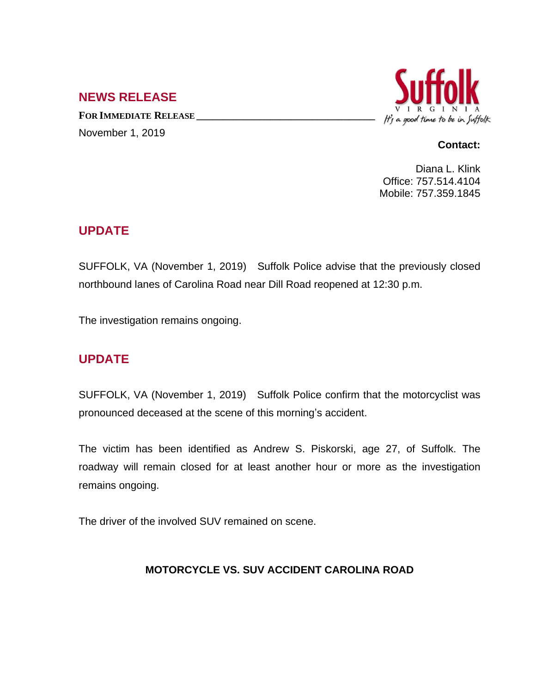### **NEWS RELEASE**

**FOR IMMEDIATE RELEASE \_\_\_\_\_\_\_\_\_\_\_\_\_\_\_\_\_\_\_\_\_\_\_\_\_\_\_\_\_\_\_\_\_\_** November 1, 2019



#### **Contact:**

Diana L. Klink Office: 757.514.4104 Mobile: 757.359.1845

# **UPDATE**

SUFFOLK, VA (November 1, 2019) Suffolk Police advise that the previously closed northbound lanes of Carolina Road near Dill Road reopened at 12:30 p.m.

The investigation remains ongoing.

# **UPDATE**

SUFFOLK, VA (November 1, 2019) Suffolk Police confirm that the motorcyclist was pronounced deceased at the scene of this morning's accident.

The victim has been identified as Andrew S. Piskorski, age 27, of Suffolk. The roadway will remain closed for at least another hour or more as the investigation remains ongoing.

The driver of the involved SUV remained on scene.

#### **MOTORCYCLE VS. SUV ACCIDENT CAROLINA ROAD**